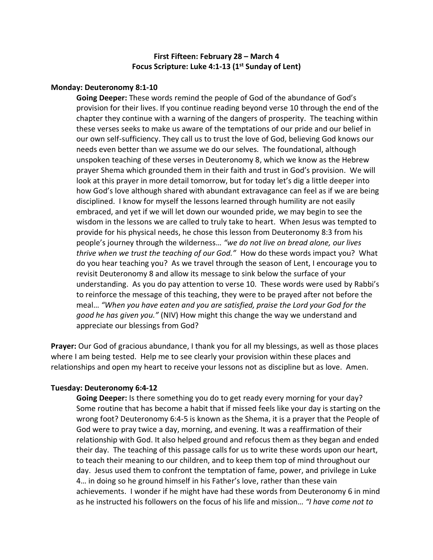# **First Fifteen: February 28 – March 4 Focus Scripture: Luke 4:1-13 (1st Sunday of Lent)**

### **Monday: Deuteronomy 8:1-10**

**Going Deeper:** These words remind the people of God of the abundance of God's provision for their lives. If you continue reading beyond verse 10 through the end of the chapter they continue with a warning of the dangers of prosperity. The teaching within these verses seeks to make us aware of the temptations of our pride and our belief in our own self-sufficiency. They call us to trust the love of God, believing God knows our needs even better than we assume we do our selves. The foundational, although unspoken teaching of these verses in Deuteronomy 8, which we know as the Hebrew prayer Shema which grounded them in their faith and trust in God's provision. We will look at this prayer in more detail tomorrow, but for today let's dig a little deeper into how God's love although shared with abundant extravagance can feel as if we are being disciplined. I know for myself the lessons learned through humility are not easily embraced, and yet if we will let down our wounded pride, we may begin to see the wisdom in the lessons we are called to truly take to heart. When Jesus was tempted to provide for his physical needs, he chose this lesson from Deuteronomy 8:3 from his people's journey through the wilderness… *"we do not live on bread alone, our lives thrive when we trust the teaching of our God."* How do these words impact you? What do you hear teaching you? As we travel through the season of Lent, I encourage you to revisit Deuteronomy 8 and allow its message to sink below the surface of your understanding. As you do pay attention to verse 10. These words were used by Rabbi's to reinforce the message of this teaching, they were to be prayed after not before the meal… *"When you have eaten and you are satisfied, praise the Lord your God for the good he has given you."* (NIV) How might this change the way we understand and appreciate our blessings from God?

**Prayer:** Our God of gracious abundance, I thank you for all my blessings, as well as those places where I am being tested. Help me to see clearly your provision within these places and relationships and open my heart to receive your lessons not as discipline but as love. Amen.

## **Tuesday: Deuteronomy 6:4-12**

**Going Deeper:** Is there something you do to get ready every morning for your day? Some routine that has become a habit that if missed feels like your day is starting on the wrong foot? Deuteronomy 6:4-5 is known as the Shema, it is a prayer that the People of God were to pray twice a day, morning, and evening. It was a reaffirmation of their relationship with God. It also helped ground and refocus them as they began and ended their day. The teaching of this passage calls for us to write these words upon our heart, to teach their meaning to our children, and to keep them top of mind throughout our day. Jesus used them to confront the temptation of fame, power, and privilege in Luke 4… in doing so he ground himself in his Father's love, rather than these vain achievements. I wonder if he might have had these words from Deuteronomy 6 in mind as he instructed his followers on the focus of his life and mission… *"I have come not to*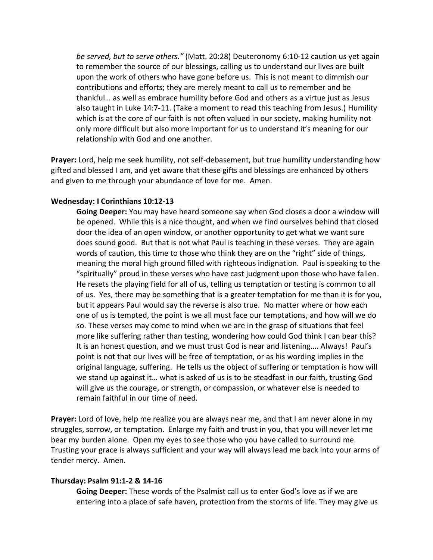*be served, but to serve others."* (Matt. 20:28) Deuteronomy 6:10-12 caution us yet again to remember the source of our blessings, calling us to understand our lives are built upon the work of others who have gone before us. This is not meant to dimmish our contributions and efforts; they are merely meant to call us to remember and be thankful… as well as embrace humility before God and others as a virtue just as Jesus also taught in Luke 14:7-11. (Take a moment to read this teaching from Jesus.) Humility which is at the core of our faith is not often valued in our society, making humility not only more difficult but also more important for us to understand it's meaning for our relationship with God and one another.

**Prayer:** Lord, help me seek humility, not self-debasement, but true humility understanding how gifted and blessed I am, and yet aware that these gifts and blessings are enhanced by others and given to me through your abundance of love for me. Amen.

### **Wednesday: I Corinthians 10:12-13**

**Going Deeper:** You may have heard someone say when God closes a door a window will be opened. While this is a nice thought, and when we find ourselves behind that closed door the idea of an open window, or another opportunity to get what we want sure does sound good. But that is not what Paul is teaching in these verses. They are again words of caution, this time to those who think they are on the "right" side of things, meaning the moral high ground filled with righteous indignation. Paul is speaking to the "spiritually" proud in these verses who have cast judgment upon those who have fallen. He resets the playing field for all of us, telling us temptation or testing is common to all of us. Yes, there may be something that is a greater temptation for me than it is for you, but it appears Paul would say the reverse is also true. No matter where or how each one of us is tempted, the point is we all must face our temptations, and how will we do so. These verses may come to mind when we are in the grasp of situations that feel more like suffering rather than testing, wondering how could God think I can bear this? It is an honest question, and we must trust God is near and listening…. Always! Paul's point is not that our lives will be free of temptation, or as his wording implies in the original language, suffering. He tells us the object of suffering or temptation is how will we stand up against it… what is asked of us is to be steadfast in our faith, trusting God will give us the courage, or strength, or compassion, or whatever else is needed to remain faithful in our time of need.

**Prayer:** Lord of love, help me realize you are always near me, and that I am never alone in my struggles, sorrow, or temptation. Enlarge my faith and trust in you, that you will never let me bear my burden alone. Open my eyes to see those who you have called to surround me. Trusting your grace is always sufficient and your way will always lead me back into your arms of tender mercy. Amen.

### **Thursday: Psalm 91:1-2 & 14-16**

**Going Deeper:** These words of the Psalmist call us to enter God's love as if we are entering into a place of safe haven, protection from the storms of life. They may give us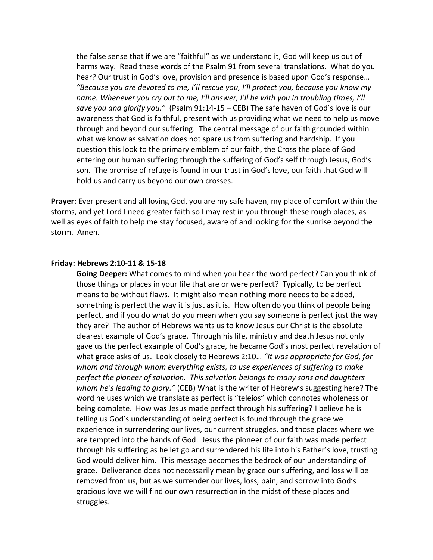the false sense that if we are "faithful" as we understand it, God will keep us out of harms way. Read these words of the Psalm 91 from several translations. What do you hear? Our trust in God's love, provision and presence is based upon God's response… *"Because you are devoted to me, I'll rescue you, I'll protect you, because you know my name. Whenever you cry out to me, I'll answer, I'll be with you in troubling times, I'll save you and glorify you."* (Psalm 91:14-15 – CEB) The safe haven of God's love is our awareness that God is faithful, present with us providing what we need to help us move through and beyond our suffering. The central message of our faith grounded within what we know as salvation does not spare us from suffering and hardship. If you question this look to the primary emblem of our faith, the Cross the place of God entering our human suffering through the suffering of God's self through Jesus, God's son. The promise of refuge is found in our trust in God's love, our faith that God will hold us and carry us beyond our own crosses.

**Prayer:** Ever present and all loving God, you are my safe haven, my place of comfort within the storms, and yet Lord I need greater faith so I may rest in you through these rough places, as well as eyes of faith to help me stay focused, aware of and looking for the sunrise beyond the storm. Amen.

#### **Friday: Hebrews 2:10-11 & 15-18**

**Going Deeper:** What comes to mind when you hear the word perfect? Can you think of those things or places in your life that are or were perfect? Typically, to be perfect means to be without flaws. It might also mean nothing more needs to be added, something is perfect the way it is just as it is. How often do you think of people being perfect, and if you do what do you mean when you say someone is perfect just the way they are? The author of Hebrews wants us to know Jesus our Christ is the absolute clearest example of God's grace. Through his life, ministry and death Jesus not only gave us the perfect example of God's grace, he became God's most perfect revelation of what grace asks of us. Look closely to Hebrews 2:10… *"It was appropriate for God, for whom and through whom everything exists, to use experiences of suffering to make perfect the pioneer of salvation. This salvation belongs to many sons and daughters whom he's leading to glory."* (CEB) What is the writer of Hebrew's suggesting here? The word he uses which we translate as perfect is "teleios" which connotes wholeness or being complete. How was Jesus made perfect through his suffering? I believe he is telling us God's understanding of being perfect is found through the grace we experience in surrendering our lives, our current struggles, and those places where we are tempted into the hands of God. Jesus the pioneer of our faith was made perfect through his suffering as he let go and surrendered his life into his Father's love, trusting God would deliver him. This message becomes the bedrock of our understanding of grace. Deliverance does not necessarily mean by grace our suffering, and loss will be removed from us, but as we surrender our lives, loss, pain, and sorrow into God's gracious love we will find our own resurrection in the midst of these places and struggles.